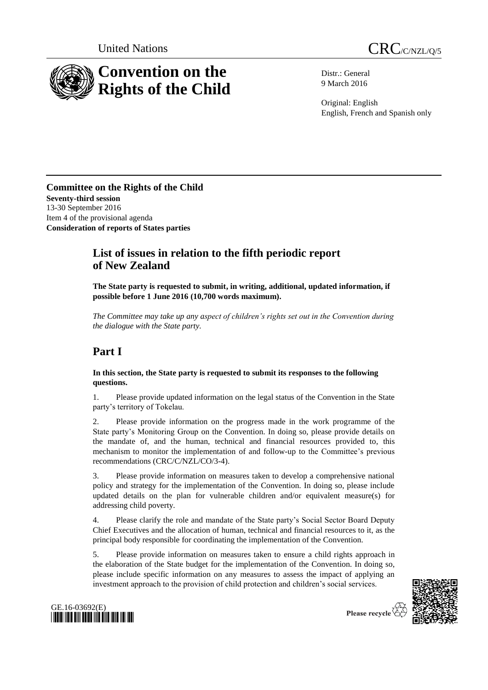



Distr.: General 9 March 2016

Original: English English, French and Spanish only

**Committee on the Rights of the Child Seventy-third session** 13-30 September 2016 Item 4 of the provisional agenda **Consideration of reports of States parties**

## **List of issues in relation to the fifth periodic report of New Zealand**

**The State party is requested to submit, in writing, additional, updated information, if possible before 1 June 2016 (10,700 words maximum).**

*The Committee may take up any aspect of children's rights set out in the Convention during the dialogue with the State party.*

# **Part I**

### **In this section, the State party is requested to submit its responses to the following questions.**

1. Please provide updated information on the legal status of the Convention in the State party's territory of Tokelau.

2. Please provide information on the progress made in the work programme of the State party's Monitoring Group on the Convention. In doing so, please provide details on the mandate of, and the human, technical and financial resources provided to, this mechanism to monitor the implementation of and follow-up to the Committee's previous recommendations (CRC/C/NZL/CO/3-4).

3. Please provide information on measures taken to develop a comprehensive national policy and strategy for the implementation of the Convention. In doing so, please include updated details on the plan for vulnerable children and/or equivalent measure(s) for addressing child poverty.

4. Please clarify the role and mandate of the State party's Social Sector Board Deputy Chief Executives and the allocation of human, technical and financial resources to it, as the principal body responsible for coordinating the implementation of the Convention.

5. Please provide information on measures taken to ensure a child rights approach in the elaboration of the State budget for the implementation of the Convention. In doing so, please include specific information on any measures to assess the impact of applying an investment approach to the provision of child protection and children's social services.





Please recycle  $\overline{\mathcal{C}}$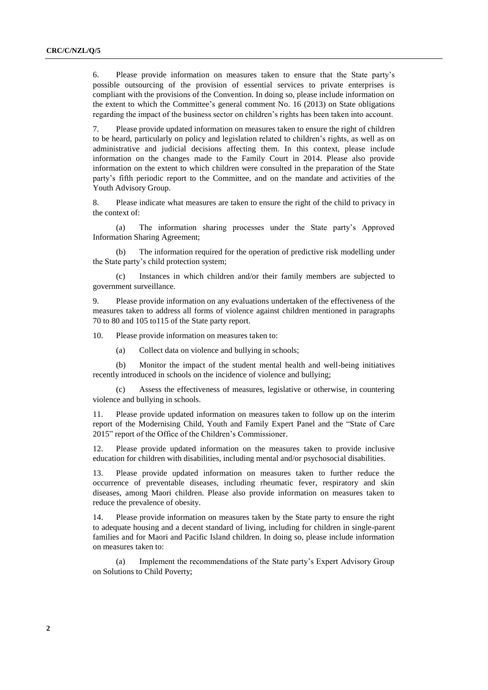6. Please provide information on measures taken to ensure that the State party's possible outsourcing of the provision of essential services to private enterprises is compliant with the provisions of the Convention. In doing so, please include information on the extent to which the Committee's general comment No. 16 (2013) on State obligations regarding the impact of the business sector on children's rights has been taken into account.

7. Please provide updated information on measures taken to ensure the right of children to be heard, particularly on policy and legislation related to children's rights, as well as on administrative and judicial decisions affecting them. In this context, please include information on the changes made to the Family Court in 2014. Please also provide information on the extent to which children were consulted in the preparation of the State party's fifth periodic report to the Committee, and on the mandate and activities of the Youth Advisory Group.

8. Please indicate what measures are taken to ensure the right of the child to privacy in the context of:

(a) The information sharing processes under the State party's Approved Information Sharing Agreement;

(b) The information required for the operation of predictive risk modelling under the State party's child protection system;

(c) Instances in which children and/or their family members are subjected to government surveillance.

9. Please provide information on any evaluations undertaken of the effectiveness of the measures taken to address all forms of violence against children mentioned in paragraphs 70 to 80 and 105 to115 of the State party report.

10. Please provide information on measures taken to:

(a) Collect data on violence and bullying in schools;

(b) Monitor the impact of the student mental health and well-being initiatives recently introduced in schools on the incidence of violence and bullying;

(c) Assess the effectiveness of measures, legislative or otherwise, in countering violence and bullying in schools.

11. Please provide updated information on measures taken to follow up on the interim report of the Modernising Child, Youth and Family Expert Panel and the "State of Care 2015" report of the Office of the Children's Commissioner.

12. Please provide updated information on the measures taken to provide inclusive education for children with disabilities, including mental and/or psychosocial disabilities.

13. Please provide updated information on measures taken to further reduce the occurrence of preventable diseases, including rheumatic fever, respiratory and skin diseases, among Maori children. Please also provide information on measures taken to reduce the prevalence of obesity.

14. Please provide information on measures taken by the State party to ensure the right to adequate housing and a decent standard of living, including for children in single-parent families and for Maori and Pacific Island children. In doing so, please include information on measures taken to:

(a) Implement the recommendations of the State party's Expert Advisory Group on Solutions to Child Poverty;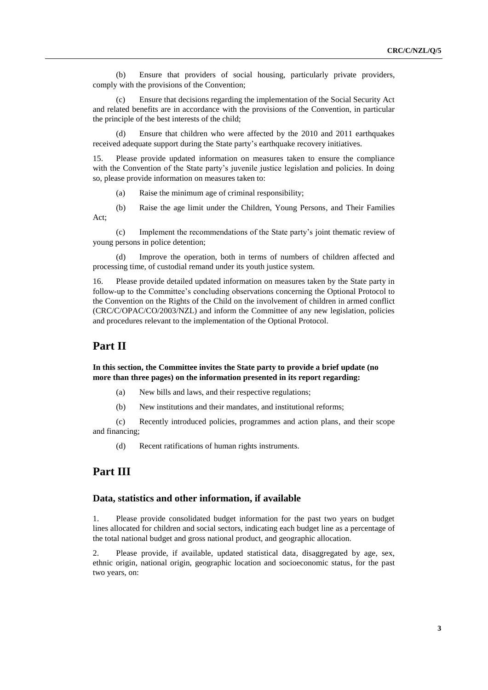(b) Ensure that providers of social housing, particularly private providers, comply with the provisions of the Convention;

(c) Ensure that decisions regarding the implementation of the Social Security Act and related benefits are in accordance with the provisions of the Convention, in particular the principle of the best interests of the child;

(d) Ensure that children who were affected by the 2010 and 2011 earthquakes received adequate support during the State party's earthquake recovery initiatives.

15. Please provide updated information on measures taken to ensure the compliance with the Convention of the State party's juvenile justice legislation and policies. In doing so, please provide information on measures taken to:

(a) Raise the minimum age of criminal responsibility;

(b) Raise the age limit under the Children, Young Persons, and Their Families Act;

(c) Implement the recommendations of the State party's joint thematic review of young persons in police detention;

(d) Improve the operation, both in terms of numbers of children affected and processing time, of custodial remand under its youth justice system.

16. Please provide detailed updated information on measures taken by the State party in follow-up to the Committee's concluding observations concerning the Optional Protocol to the Convention on the Rights of the Child on the involvement of children in armed conflict (CRC/C/OPAC/CO/2003/NZL) and inform the Committee of any new legislation, policies and procedures relevant to the implementation of the Optional Protocol.

### **Part II**

#### **In this section, the Committee invites the State party to provide a brief update (no more than three pages) on the information presented in its report regarding:**

(a) New bills and laws, and their respective regulations;

(b) New institutions and their mandates, and institutional reforms;

(c) Recently introduced policies, programmes and action plans, and their scope and financing;

(d) Recent ratifications of human rights instruments.

### **Part III**

#### **Data, statistics and other information, if available**

1. Please provide consolidated budget information for the past two years on budget lines allocated for children and social sectors, indicating each budget line as a percentage of the total national budget and gross national product, and geographic allocation.

2. Please provide, if available, updated statistical data, disaggregated by age, sex, ethnic origin, national origin, geographic location and socioeconomic status, for the past two years, on: